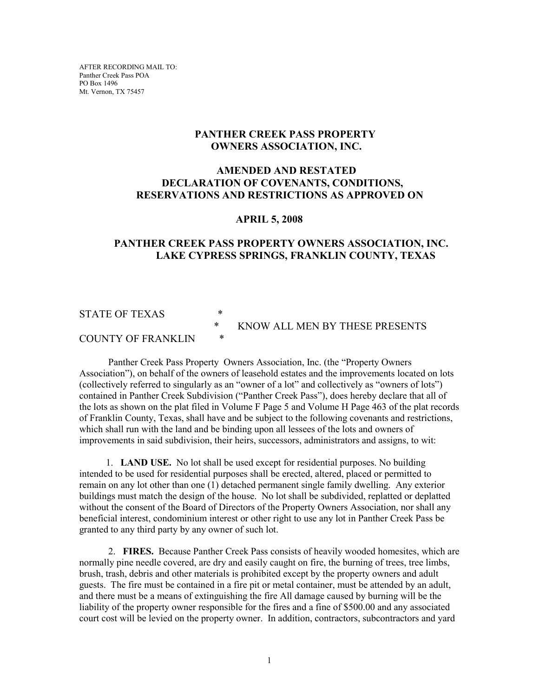AFTER RECORDING MAIL TO: Panther Creek Pass POA PO Box 1496 Mt. Vernon, TX 75457

# **PANTHER CREEK PASS PROPERTY OWNERS ASSOCIATION, INC.**

# **AMENDED AND RESTATED DECLARATION OF COVENANTS, CONDITIONS, RESERVATIONS AND RESTRICTIONS AS APPROVED ON**

#### **APRIL 5, 2008**

# **PANTHER CREEK PASS PROPERTY OWNERS ASSOCIATION, INC. LAKE CYPRESS SPRINGS, FRANKLIN COUNTY, TEXAS**

### STATE OF TEXAS  $*$

# \* KNOW ALL MEN BY THESE PRESENTS

### COUNTY OF FRANKLIN \*

 Panther Creek Pass Property Owners Association, Inc. (the "Property Owners Association"), on behalf of the owners of leasehold estates and the improvements located on lots (collectively referred to singularly as an "owner of a lot" and collectively as "owners of lots") contained in Panther Creek Subdivision ("Panther Creek Pass"), does hereby declare that all of the lots as shown on the plat filed in Volume F Page 5 and Volume H Page 463 of the plat records of Franklin County, Texas, shall have and be subject to the following covenants and restrictions, which shall run with the land and be binding upon all lessees of the lots and owners of improvements in said subdivision, their heirs, successors, administrators and assigns, to wit:

 1. **LAND USE.** No lot shall be used except for residential purposes. No building intended to be used for residential purposes shall be erected, altered, placed or permitted to remain on any lot other than one (1) detached permanent single family dwelling. Any exterior buildings must match the design of the house. No lot shall be subdivided, replatted or deplatted without the consent of the Board of Directors of the Property Owners Association, nor shall any beneficial interest, condominium interest or other right to use any lot in Panther Creek Pass be granted to any third party by any owner of such lot.

 2. **FIRES.** Because Panther Creek Pass consists of heavily wooded homesites, which are normally pine needle covered, are dry and easily caught on fire, the burning of trees, tree limbs, brush, trash, debris and other materials is prohibited except by the property owners and adult guests. The fire must be contained in a fire pit or metal container, must be attended by an adult, and there must be a means of extinguishing the fire All damage caused by burning will be the liability of the property owner responsible for the fires and a fine of \$500.00 and any associated court cost will be levied on the property owner. In addition, contractors, subcontractors and yard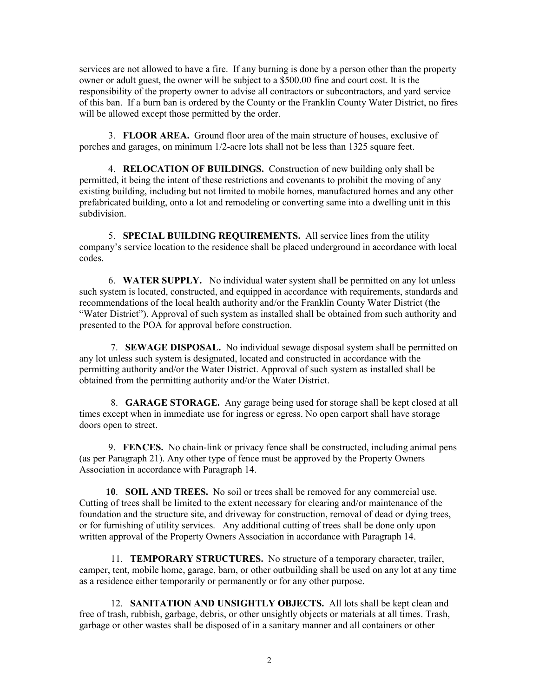services are not allowed to have a fire. If any burning is done by a person other than the property owner or adult guest, the owner will be subject to a \$500.00 fine and court cost. It is the responsibility of the property owner to advise all contractors or subcontractors, and yard service of this ban. If a burn ban is ordered by the County or the Franklin County Water District, no fires will be allowed except those permitted by the order.

3. **FLOOR AREA.** Ground floor area of the main structure of houses, exclusive of porches and garages, on minimum 1/2-acre lots shall not be less than 1325 square feet.

 4. **RELOCATION OF BUILDINGS.** Construction of new building only shall be permitted, it being the intent of these restrictions and covenants to prohibit the moving of any existing building, including but not limited to mobile homes, manufactured homes and any other prefabricated building, onto a lot and remodeling or converting same into a dwelling unit in this subdivision.

 5. **SPECIAL BUILDING REQUIREMENTS.** All service lines from the utility company's service location to the residence shall be placed underground in accordance with local codes.

 6. **WATER SUPPLY.** No individual water system shall be permitted on any lot unless such system is located, constructed, and equipped in accordance with requirements, standards and recommendations of the local health authority and/or the Franklin County Water District (the "Water District"). Approval of such system as installed shall be obtained from such authority and presented to the POA for approval before construction.

 7. **SEWAGE DISPOSAL.** No individual sewage disposal system shall be permitted on any lot unless such system is designated, located and constructed in accordance with the permitting authority and/or the Water District. Approval of such system as installed shall be obtained from the permitting authority and/or the Water District.

 8. **GARAGE STORAGE.** Any garage being used for storage shall be kept closed at all times except when in immediate use for ingress or egress. No open carport shall have storage doors open to street.

 9. **FENCES.** No chain-link or privacy fence shall be constructed, including animal pens (as per Paragraph 21). Any other type of fence must be approved by the Property Owners Association in accordance with Paragraph 14.

 **10**. **SOIL AND TREES.** No soil or trees shall be removed for any commercial use. Cutting of trees shall be limited to the extent necessary for clearing and/or maintenance of the foundation and the structure site, and driveway for construction, removal of dead or dying trees, or for furnishing of utility services. Any additional cutting of trees shall be done only upon written approval of the Property Owners Association in accordance with Paragraph 14.

 11. **TEMPORARY STRUCTURES.** No structure of a temporary character, trailer, camper, tent, mobile home, garage, barn, or other outbuilding shall be used on any lot at any time as a residence either temporarily or permanently or for any other purpose.

 12. **SANITATION AND UNSIGHTLY OBJECTS.** All lots shall be kept clean and free of trash, rubbish, garbage, debris, or other unsightly objects or materials at all times. Trash, garbage or other wastes shall be disposed of in a sanitary manner and all containers or other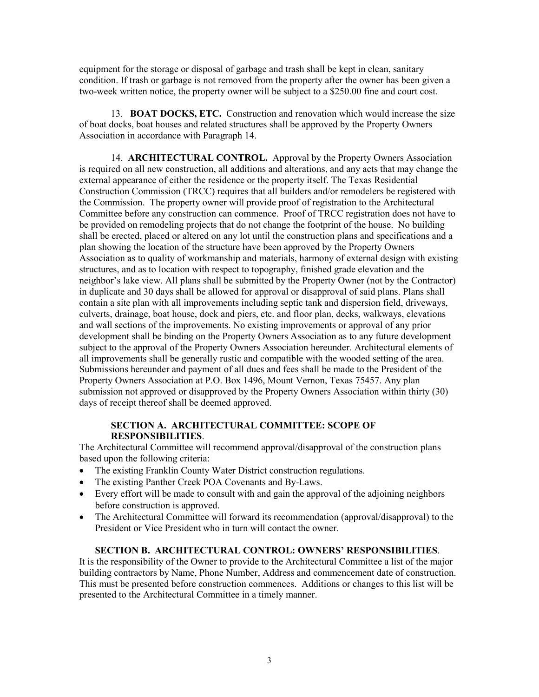equipment for the storage or disposal of garbage and trash shall be kept in clean, sanitary condition. If trash or garbage is not removed from the property after the owner has been given a two-week written notice, the property owner will be subject to a \$250.00 fine and court cost.

 13. **BOAT DOCKS, ETC.** Construction and renovation which would increase the size of boat docks, boat houses and related structures shall be approved by the Property Owners Association in accordance with Paragraph 14.

14. **ARCHITECTURAL CONTROL.** Approval by the Property Owners Association is required on all new construction, all additions and alterations, and any acts that may change the external appearance of either the residence or the property itself. The Texas Residential Construction Commission (TRCC) requires that all builders and/or remodelers be registered with the Commission. The property owner will provide proof of registration to the Architectural Committee before any construction can commence. Proof of TRCC registration does not have to be provided on remodeling projects that do not change the footprint of the house. No building shall be erected, placed or altered on any lot until the construction plans and specifications and a plan showing the location of the structure have been approved by the Property Owners Association as to quality of workmanship and materials, harmony of external design with existing structures, and as to location with respect to topography, finished grade elevation and the neighbor's lake view. All plans shall be submitted by the Property Owner (not by the Contractor) in duplicate and 30 days shall be allowed for approval or disapproval of said plans. Plans shall contain a site plan with all improvements including septic tank and dispersion field, driveways, culverts, drainage, boat house, dock and piers, etc. and floor plan, decks, walkways, elevations and wall sections of the improvements. No existing improvements or approval of any prior development shall be binding on the Property Owners Association as to any future development subject to the approval of the Property Owners Association hereunder. Architectural elements of all improvements shall be generally rustic and compatible with the wooded setting of the area. Submissions hereunder and payment of all dues and fees shall be made to the President of the Property Owners Association at P.O. Box 1496, Mount Vernon, Texas 75457. Any plan submission not approved or disapproved by the Property Owners Association within thirty (30) days of receipt thereof shall be deemed approved.

#### **SECTION A. ARCHITECTURAL COMMITTEE: SCOPE OF RESPONSIBILITIES**.

The Architectural Committee will recommend approval/disapproval of the construction plans based upon the following criteria:

- The existing Franklin County Water District construction regulations.
- The existing Panther Creek POA Covenants and By-Laws.
- Every effort will be made to consult with and gain the approval of the adjoining neighbors before construction is approved.
- The Architectural Committee will forward its recommendation (approval/disapproval) to the President or Vice President who in turn will contact the owner.

#### **SECTION B. ARCHITECTURAL CONTROL: OWNERS' RESPONSIBILITIES**.

It is the responsibility of the Owner to provide to the Architectural Committee a list of the major building contractors by Name, Phone Number, Address and commencement date of construction. This must be presented before construction commences. Additions or changes to this list will be presented to the Architectural Committee in a timely manner.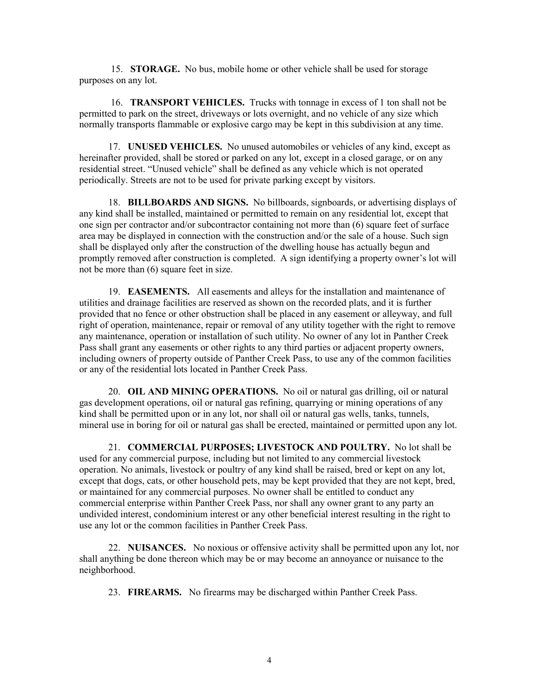15. **STORAGE.** No bus, mobile home or other vehicle shall be used for storage purposes on any lot.

 16. **TRANSPORT VEHICLES.** Trucks with tonnage in excess of 1 ton shall not be permitted to park on the street, driveways or lots overnight, and no vehicle of any size which normally transports flammable or explosive cargo may be kept in this subdivision at any time.

17. **UNUSED VEHICLES.** No unused automobiles or vehicles of any kind, except as hereinafter provided, shall be stored or parked on any lot, except in a closed garage, or on any residential street. "Unused vehicle" shall be defined as any vehicle which is not operated periodically. Streets are not to be used for private parking except by visitors.

 18. **BILLBOARDS AND SIGNS.** No billboards, signboards, or advertising displays of any kind shall be installed, maintained or permitted to remain on any residential lot, except that one sign per contractor and/or subcontractor containing not more than (6) square feet of surface area may be displayed in connection with the construction and/or the sale of a house. Such sign shall be displayed only after the construction of the dwelling house has actually begun and promptly removed after construction is completed. A sign identifying a property owner's lot will not be more than (6) square feet in size.

 19. **EASEMENTS.** All easements and alleys for the installation and maintenance of utilities and drainage facilities are reserved as shown on the recorded plats, and it is further provided that no fence or other obstruction shall be placed in any easement or alleyway, and full right of operation, maintenance, repair or removal of any utility together with the right to remove any maintenance, operation or installation of such utility. No owner of any lot in Panther Creek Pass shall grant any easements or other rights to any third parties or adjacent property owners, including owners of property outside of Panther Creek Pass, to use any of the common facilities or any of the residential lots located in Panther Creek Pass.

 20. **OIL AND MINING OPERATIONS.** No oil or natural gas drilling, oil or natural gas development operations, oil or natural gas refining, quarrying or mining operations of any kind shall be permitted upon or in any lot, nor shall oil or natural gas wells, tanks, tunnels, mineral use in boring for oil or natural gas shall be erected, maintained or permitted upon any lot.

21. **COMMERCIAL PURPOSES; LIVESTOCK AND POULTRY.** No lot shall be used for any commercial purpose, including but not limited to any commercial livestock operation. No animals, livestock or poultry of any kind shall be raised, bred or kept on any lot, except that dogs, cats, or other household pets, may be kept provided that they are not kept, bred, or maintained for any commercial purposes. No owner shall be entitled to conduct any commercial enterprise within Panther Creek Pass, nor shall any owner grant to any party an undivided interest, condominium interest or any other beneficial interest resulting in the right to use any lot or the common facilities in Panther Creek Pass.

 22. **NUISANCES.** No noxious or offensive activity shall be permitted upon any lot, nor shall anything be done thereon which may be or may become an annoyance or nuisance to the neighborhood.

23. **FIREARMS.** No firearms may be discharged within Panther Creek Pass.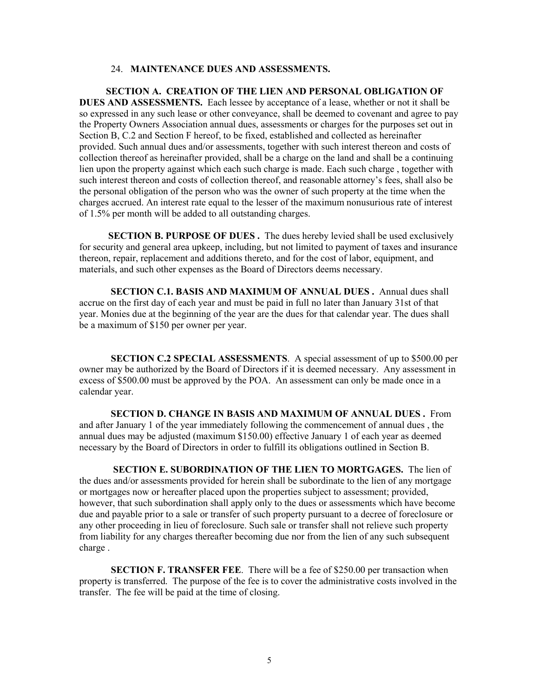#### 24. **MAINTENANCE DUES AND ASSESSMENTS.**

 **SECTION A. CREATION OF THE LIEN AND PERSONAL OBLIGATION OF DUES AND ASSESSMENTS.** Each lessee by acceptance of a lease, whether or not it shall be so expressed in any such lease or other conveyance, shall be deemed to covenant and agree to pay the Property Owners Association annual dues, assessments or charges for the purposes set out in Section B, C.2 and Section F hereof, to be fixed, established and collected as hereinafter provided. Such annual dues and/or assessments, together with such interest thereon and costs of collection thereof as hereinafter provided, shall be a charge on the land and shall be a continuing lien upon the property against which each such charge is made. Each such charge , together with such interest thereon and costs of collection thereof, and reasonable attorney's fees, shall also be the personal obligation of the person who was the owner of such property at the time when the charges accrued. An interest rate equal to the lesser of the maximum nonusurious rate of interest of 1.5% per month will be added to all outstanding charges.

**SECTION B. PURPOSE OF DUES.** The dues hereby levied shall be used exclusively for security and general area upkeep, including, but not limited to payment of taxes and insurance thereon, repair, replacement and additions thereto, and for the cost of labor, equipment, and materials, and such other expenses as the Board of Directors deems necessary.

 **SECTION C.1. BASIS AND MAXIMUM OF ANNUAL DUES .** Annual dues shall accrue on the first day of each year and must be paid in full no later than January 31st of that year. Monies due at the beginning of the year are the dues for that calendar year. The dues shall be a maximum of \$150 per owner per year.

**SECTION C.2 SPECIAL ASSESSMENTS**. A special assessment of up to \$500.00 per owner may be authorized by the Board of Directors if it is deemed necessary. Any assessment in excess of \$500.00 must be approved by the POA. An assessment can only be made once in a calendar year.

 **SECTION D. CHANGE IN BASIS AND MAXIMUM OF ANNUAL DUES .** From and after January 1 of the year immediately following the commencement of annual dues , the annual dues may be adjusted (maximum \$150.00) effective January 1 of each year as deemed necessary by the Board of Directors in order to fulfill its obligations outlined in Section B.

 **SECTION E. SUBORDINATION OF THE LIEN TO MORTGAGES.** The lien of the dues and/or assessments provided for herein shall be subordinate to the lien of any mortgage or mortgages now or hereafter placed upon the properties subject to assessment; provided, however, that such subordination shall apply only to the dues or assessments which have become due and payable prior to a sale or transfer of such property pursuant to a decree of foreclosure or any other proceeding in lieu of foreclosure. Such sale or transfer shall not relieve such property from liability for any charges thereafter becoming due nor from the lien of any such subsequent charge .

**SECTION F. TRANSFER FEE**. There will be a fee of \$250.00 per transaction when property is transferred. The purpose of the fee is to cover the administrative costs involved in the transfer. The fee will be paid at the time of closing.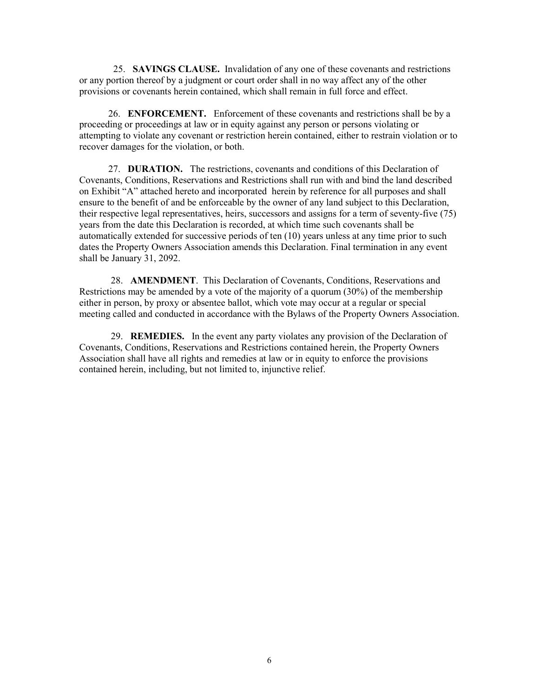25. **SAVINGS CLAUSE.** Invalidation of any one of these covenants and restrictions or any portion thereof by a judgment or court order shall in no way affect any of the other provisions or covenants herein contained, which shall remain in full force and effect.

 26. **ENFORCEMENT.** Enforcement of these covenants and restrictions shall be by a proceeding or proceedings at law or in equity against any person or persons violating or attempting to violate any covenant or restriction herein contained, either to restrain violation or to recover damages for the violation, or both.

 27. **DURATION.** The restrictions, covenants and conditions of this Declaration of Covenants, Conditions, Reservations and Restrictions shall run with and bind the land described on Exhibit "A" attached hereto and incorporated herein by reference for all purposes and shall ensure to the benefit of and be enforceable by the owner of any land subject to this Declaration, their respective legal representatives, heirs, successors and assigns for a term of seventy-five (75) years from the date this Declaration is recorded, at which time such covenants shall be automatically extended for successive periods of ten (10) years unless at any time prior to such dates the Property Owners Association amends this Declaration. Final termination in any event shall be January 31, 2092.

28. **AMENDMENT**. This Declaration of Covenants, Conditions, Reservations and Restrictions may be amended by a vote of the majority of a quorum (30%) of the membership either in person, by proxy or absentee ballot, which vote may occur at a regular or special meeting called and conducted in accordance with the Bylaws of the Property Owners Association.

 29. **REMEDIES.** In the event any party violates any provision of the Declaration of Covenants, Conditions, Reservations and Restrictions contained herein, the Property Owners Association shall have all rights and remedies at law or in equity to enforce the provisions contained herein, including, but not limited to, injunctive relief.